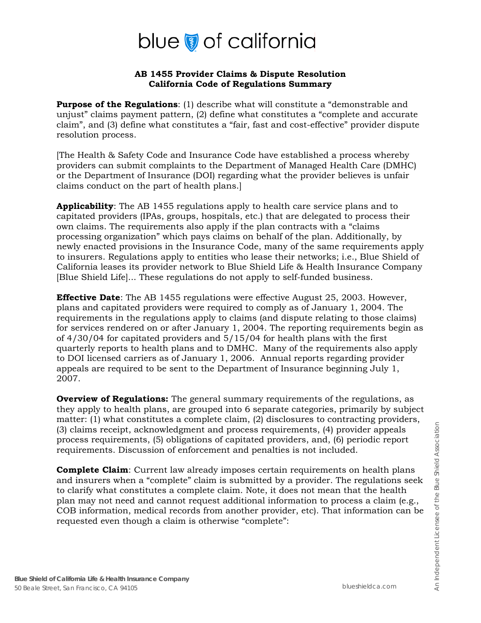# blue of california

#### **AB 1455 Provider Claims & Dispute Resolution California Code of Regulations Summary**

**Purpose of the Regulations**: (1) describe what will constitute a "demonstrable and unjust" claims payment pattern, (2) define what constitutes a "complete and accurate claim", and (3) define what constitutes a "fair, fast and cost-effective" provider dispute resolution process.

[The Health & Safety Code and Insurance Code have established a process whereby providers can submit complaints to the Department of Managed Health Care (DMHC) or the Department of Insurance (DOI) regarding what the provider believes is unfair claims conduct on the part of health plans.]

**Applicability**: The AB 1455 regulations apply to health care service plans and to capitated providers (IPAs, groups, hospitals, etc.) that are delegated to process their own claims. The requirements also apply if the plan contracts with a "claims processing organization" which pays claims on behalf of the plan. Additionally, by newly enacted provisions in the Insurance Code, many of the same requirements apply to insurers. Regulations apply to entities who lease their networks; i.e., Blue Shield of California leases its provider network to Blue Shield Life & Health Insurance Company [Blue Shield Life]... These regulations do not apply to self-funded business.

**Effective Date**: The AB 1455 regulations were effective August 25, 2003. However, plans and capitated providers were required to comply as of January 1, 2004. The requirements in the regulations apply to claims (and dispute relating to those claims) for services rendered on or after January 1, 2004. The reporting requirements begin as of 4/30/04 for capitated providers and 5/15/04 for health plans with the first quarterly reports to health plans and to DMHC. Many of the requirements also apply to DOI licensed carriers as of January 1, 2006. Annual reports regarding provider appeals are required to be sent to the Department of Insurance beginning July 1, 2007.

**Overview of Regulations:** The general summary requirements of the regulations, as they apply to health plans, are grouped into 6 separate categories, primarily by subject matter: (1) what constitutes a complete claim, (2) disclosures to contracting providers, (3) claims receipt, acknowledgment and process requirements, (4) provider appeals process requirements, (5) obligations of capitated providers, and, (6) periodic report requirements. Discussion of enforcement and penalties is not included.

**Complete Claim**: Current law already imposes certain requirements on health plans and insurers when a "complete" claim is submitted by a provider. The regulations seek to clarify what constitutes a complete claim. Note, it does not mean that the health plan may not need and cannot request additional information to process a claim (e.g., COB information, medical records from another provider, etc). That information can be requested even though a claim is otherwise "complete":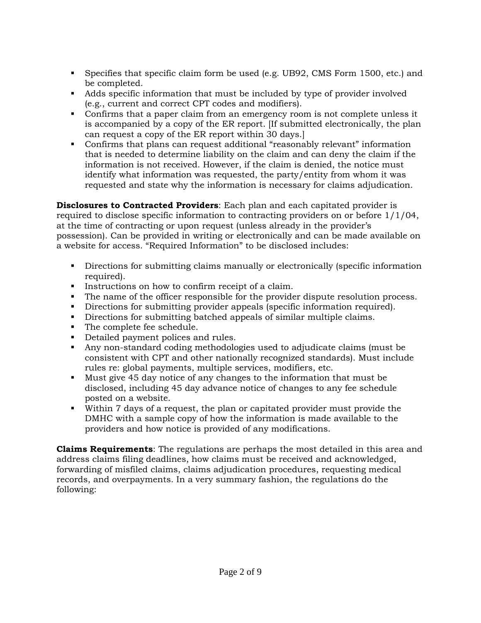- Specifies that specific claim form be used (e.g. UB92, CMS Form 1500, etc.) and be completed.
- Adds specific information that must be included by type of provider involved (e.g., current and correct CPT codes and modifiers).
- Confirms that a paper claim from an emergency room is not complete unless it is accompanied by a copy of the ER report. [If submitted electronically, the plan can request a copy of the ER report within 30 days.]
- Confirms that plans can request additional "reasonably relevant" information that is needed to determine liability on the claim and can deny the claim if the information is not received. However, if the claim is denied, the notice must identify what information was requested, the party/entity from whom it was requested and state why the information is necessary for claims adjudication.

**Disclosures to Contracted Providers**: Each plan and each capitated provider is required to disclose specific information to contracting providers on or before 1/1/04, at the time of contracting or upon request (unless already in the provider's possession). Can be provided in writing or electronically and can be made available on a website for access. "Required Information" to be disclosed includes:

- Directions for submitting claims manually or electronically (specific information required).
- Instructions on how to confirm receipt of a claim.
- The name of the officer responsible for the provider dispute resolution process.
- Directions for submitting provider appeals (specific information required).
- Directions for submitting batched appeals of similar multiple claims.
- The complete fee schedule.
- Detailed payment polices and rules.
- Any non-standard coding methodologies used to adjudicate claims (must be consistent with CPT and other nationally recognized standards). Must include rules re: global payments, multiple services, modifiers, etc.
- Must give 45 day notice of any changes to the information that must be disclosed, including 45 day advance notice of changes to any fee schedule posted on a website.
- Within 7 days of a request, the plan or capitated provider must provide the DMHC with a sample copy of how the information is made available to the providers and how notice is provided of any modifications.

**Claims Requirements**: The regulations are perhaps the most detailed in this area and address claims filing deadlines, how claims must be received and acknowledged, forwarding of misfiled claims, claims adjudication procedures, requesting medical records, and overpayments. In a very summary fashion, the regulations do the following: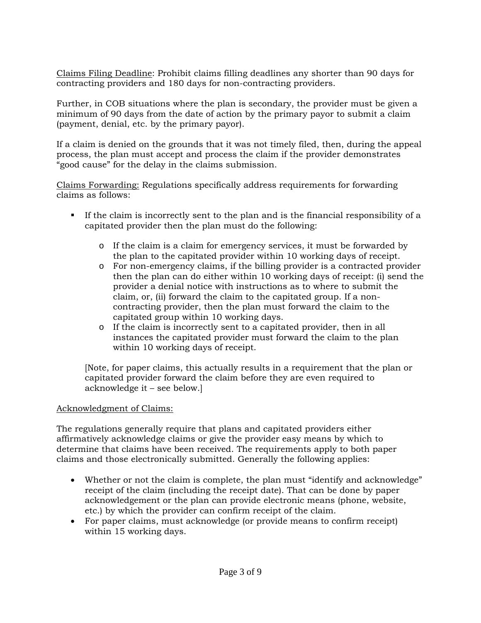Claims Filing Deadline: Prohibit claims filling deadlines any shorter than 90 days for contracting providers and 180 days for non-contracting providers.

Further, in COB situations where the plan is secondary, the provider must be given a minimum of 90 days from the date of action by the primary payor to submit a claim (payment, denial, etc. by the primary payor).

If a claim is denied on the grounds that it was not timely filed, then, during the appeal process, the plan must accept and process the claim if the provider demonstrates "good cause" for the delay in the claims submission.

Claims Forwarding: Regulations specifically address requirements for forwarding claims as follows:

- If the claim is incorrectly sent to the plan and is the financial responsibility of a capitated provider then the plan must do the following:
	- o If the claim is a claim for emergency services, it must be forwarded by the plan to the capitated provider within 10 working days of receipt.
	- o For non-emergency claims, if the billing provider is a contracted provider then the plan can do either within 10 working days of receipt: (i) send the provider a denial notice with instructions as to where to submit the claim, or, (ii) forward the claim to the capitated group. If a noncontracting provider, then the plan must forward the claim to the capitated group within 10 working days.
	- o If the claim is incorrectly sent to a capitated provider, then in all instances the capitated provider must forward the claim to the plan within 10 working days of receipt.

[Note, for paper claims, this actually results in a requirement that the plan or capitated provider forward the claim before they are even required to acknowledge it – see below.]

### Acknowledgment of Claims:

The regulations generally require that plans and capitated providers either affirmatively acknowledge claims or give the provider easy means by which to determine that claims have been received. The requirements apply to both paper claims and those electronically submitted. Generally the following applies:

- Whether or not the claim is complete, the plan must "identify and acknowledge" receipt of the claim (including the receipt date). That can be done by paper acknowledgement or the plan can provide electronic means (phone, website, etc.) by which the provider can confirm receipt of the claim.
- For paper claims, must acknowledge (or provide means to confirm receipt) within 15 working days.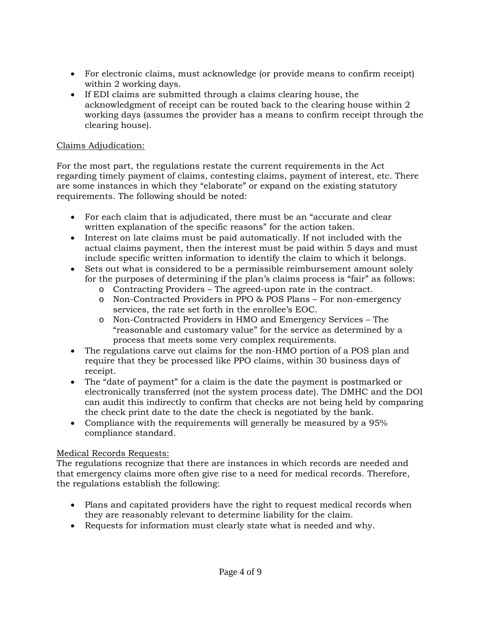- For electronic claims, must acknowledge (or provide means to confirm receipt) within 2 working days.
- If EDI claims are submitted through a claims clearing house, the acknowledgment of receipt can be routed back to the clearing house within 2 working days (assumes the provider has a means to confirm receipt through the clearing house).

## Claims Adjudication:

For the most part, the regulations restate the current requirements in the Act regarding timely payment of claims, contesting claims, payment of interest, etc. There are some instances in which they "elaborate" or expand on the existing statutory requirements. The following should be noted:

- For each claim that is adjudicated, there must be an "accurate and clear written explanation of the specific reasons" for the action taken.
- Interest on late claims must be paid automatically. If not included with the actual claims payment, then the interest must be paid within 5 days and must include specific written information to identify the claim to which it belongs.
- Sets out what is considered to be a permissible reimbursement amount solely for the purposes of determining if the plan's claims process is "fair" as follows:
	- o Contracting Providers The agreed-upon rate in the contract.
	- o Non-Contracted Providers in PPO & POS Plans For non-emergency services, the rate set forth in the enrollee's EOC.
	- o Non-Contracted Providers in HMO and Emergency Services The "reasonable and customary value" for the service as determined by a process that meets some very complex requirements.
- The regulations carve out claims for the non-HMO portion of a POS plan and require that they be processed like PPO claims, within 30 business days of receipt.
- The "date of payment" for a claim is the date the payment is postmarked or electronically transferred (not the system process date). The DMHC and the DOI can audit this indirectly to confirm that checks are not being held by comparing the check print date to the date the check is negotiated by the bank.
- Compliance with the requirements will generally be measured by a 95% compliance standard.

### Medical Records Requests:

The regulations recognize that there are instances in which records are needed and that emergency claims more often give rise to a need for medical records. Therefore, the regulations establish the following:

- Plans and capitated providers have the right to request medical records when they are reasonably relevant to determine liability for the claim.
- Requests for information must clearly state what is needed and why.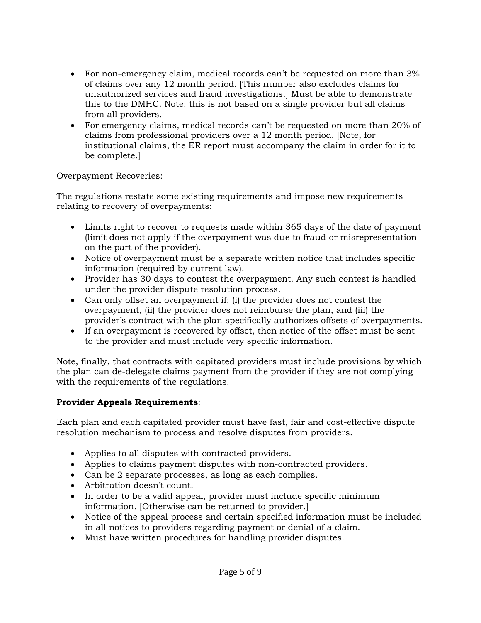- For non-emergency claim, medical records can't be requested on more than 3% of claims over any 12 month period. [This number also excludes claims for unauthorized services and fraud investigations.] Must be able to demonstrate this to the DMHC. Note: this is not based on a single provider but all claims from all providers.
- For emergency claims, medical records can't be requested on more than 20% of claims from professional providers over a 12 month period. [Note, for institutional claims, the ER report must accompany the claim in order for it to be complete.]

#### Overpayment Recoveries:

The regulations restate some existing requirements and impose new requirements relating to recovery of overpayments:

- Limits right to recover to requests made within 365 days of the date of payment (limit does not apply if the overpayment was due to fraud or misrepresentation on the part of the provider).
- Notice of overpayment must be a separate written notice that includes specific information (required by current law).
- Provider has 30 days to contest the overpayment. Any such contest is handled under the provider dispute resolution process.
- Can only offset an overpayment if: (i) the provider does not contest the overpayment, (ii) the provider does not reimburse the plan, and (iii) the provider's contract with the plan specifically authorizes offsets of overpayments.
- If an overpayment is recovered by offset, then notice of the offset must be sent to the provider and must include very specific information.

Note, finally, that contracts with capitated providers must include provisions by which the plan can de-delegate claims payment from the provider if they are not complying with the requirements of the regulations.

### **Provider Appeals Requirements**:

Each plan and each capitated provider must have fast, fair and cost-effective dispute resolution mechanism to process and resolve disputes from providers.

- Applies to all disputes with contracted providers.
- Applies to claims payment disputes with non-contracted providers.
- Can be 2 separate processes, as long as each complies.
- Arbitration doesn't count.
- In order to be a valid appeal, provider must include specific minimum information. [Otherwise can be returned to provider.]
- Notice of the appeal process and certain specified information must be included in all notices to providers regarding payment or denial of a claim.
- Must have written procedures for handling provider disputes.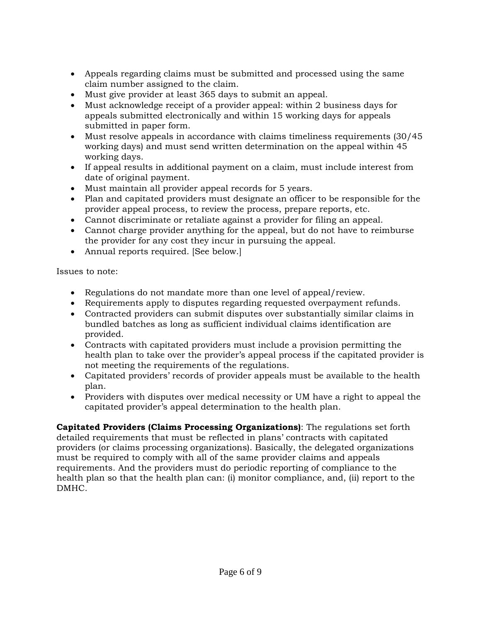- Appeals regarding claims must be submitted and processed using the same claim number assigned to the claim.
- Must give provider at least 365 days to submit an appeal.
- Must acknowledge receipt of a provider appeal: within 2 business days for appeals submitted electronically and within 15 working days for appeals submitted in paper form.
- Must resolve appeals in accordance with claims timeliness requirements (30/45 working days) and must send written determination on the appeal within 45 working days.
- If appeal results in additional payment on a claim, must include interest from date of original payment.
- Must maintain all provider appeal records for 5 years.
- Plan and capitated providers must designate an officer to be responsible for the provider appeal process, to review the process, prepare reports, etc.
- Cannot discriminate or retaliate against a provider for filing an appeal.
- Cannot charge provider anything for the appeal, but do not have to reimburse the provider for any cost they incur in pursuing the appeal.
- Annual reports required. [See below.]

Issues to note:

- Regulations do not mandate more than one level of appeal/review.
- Requirements apply to disputes regarding requested overpayment refunds.
- Contracted providers can submit disputes over substantially similar claims in bundled batches as long as sufficient individual claims identification are provided.
- Contracts with capitated providers must include a provision permitting the health plan to take over the provider's appeal process if the capitated provider is not meeting the requirements of the regulations.
- Capitated providers' records of provider appeals must be available to the health plan.
- Providers with disputes over medical necessity or UM have a right to appeal the capitated provider's appeal determination to the health plan.

**Capitated Providers (Claims Processing Organizations)**: The regulations set forth detailed requirements that must be reflected in plans' contracts with capitated providers (or claims processing organizations). Basically, the delegated organizations must be required to comply with all of the same provider claims and appeals requirements. And the providers must do periodic reporting of compliance to the health plan so that the health plan can: (i) monitor compliance, and, (ii) report to the DMHC.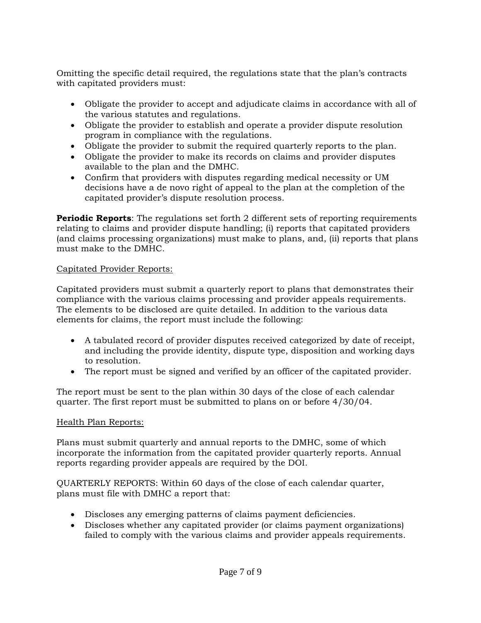Omitting the specific detail required, the regulations state that the plan's contracts with capitated providers must:

- Obligate the provider to accept and adjudicate claims in accordance with all of the various statutes and regulations.
- Obligate the provider to establish and operate a provider dispute resolution program in compliance with the regulations.
- Obligate the provider to submit the required quarterly reports to the plan.
- Obligate the provider to make its records on claims and provider disputes available to the plan and the DMHC.
- Confirm that providers with disputes regarding medical necessity or UM decisions have a de novo right of appeal to the plan at the completion of the capitated provider's dispute resolution process.

**Periodic Reports:** The regulations set forth 2 different sets of reporting requirements relating to claims and provider dispute handling; (i) reports that capitated providers (and claims processing organizations) must make to plans, and, (ii) reports that plans must make to the DMHC.

## Capitated Provider Reports:

Capitated providers must submit a quarterly report to plans that demonstrates their compliance with the various claims processing and provider appeals requirements. The elements to be disclosed are quite detailed. In addition to the various data elements for claims, the report must include the following:

- A tabulated record of provider disputes received categorized by date of receipt, and including the provide identity, dispute type, disposition and working days to resolution.
- The report must be signed and verified by an officer of the capitated provider.

The report must be sent to the plan within 30 days of the close of each calendar quarter. The first report must be submitted to plans on or before 4/30/04.

### Health Plan Reports:

Plans must submit quarterly and annual reports to the DMHC, some of which incorporate the information from the capitated provider quarterly reports. Annual reports regarding provider appeals are required by the DOI.

QUARTERLY REPORTS: Within 60 days of the close of each calendar quarter, plans must file with DMHC a report that:

- Discloses any emerging patterns of claims payment deficiencies.
- Discloses whether any capitated provider (or claims payment organizations) failed to comply with the various claims and provider appeals requirements.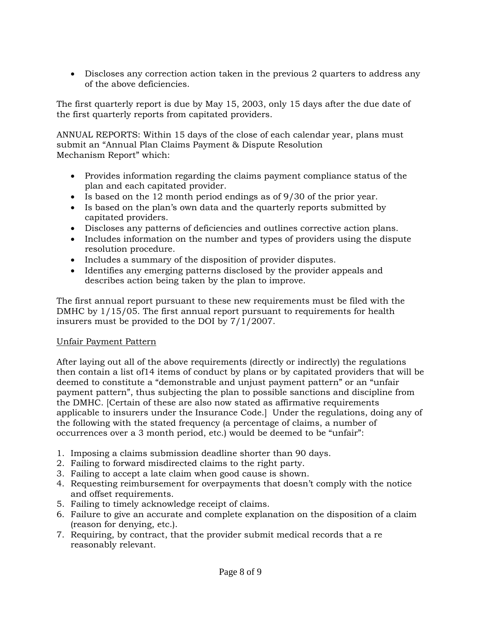• Discloses any correction action taken in the previous 2 quarters to address any of the above deficiencies.

The first quarterly report is due by May 15, 2003, only 15 days after the due date of the first quarterly reports from capitated providers.

ANNUAL REPORTS: Within 15 days of the close of each calendar year, plans must submit an "Annual Plan Claims Payment & Dispute Resolution Mechanism Report" which:

- Provides information regarding the claims payment compliance status of the plan and each capitated provider.
- Is based on the 12 month period endings as of 9/30 of the prior year.
- Is based on the plan's own data and the quarterly reports submitted by capitated providers.
- Discloses any patterns of deficiencies and outlines corrective action plans.
- Includes information on the number and types of providers using the dispute resolution procedure.
- Includes a summary of the disposition of provider disputes.
- Identifies any emerging patterns disclosed by the provider appeals and describes action being taken by the plan to improve.

The first annual report pursuant to these new requirements must be filed with the DMHC by 1/15/05. The first annual report pursuant to requirements for health insurers must be provided to the DOI by 7/1/2007.

### Unfair Payment Pattern

After laying out all of the above requirements (directly or indirectly) the regulations then contain a list of14 items of conduct by plans or by capitated providers that will be deemed to constitute a "demonstrable and unjust payment pattern" or an "unfair payment pattern", thus subjecting the plan to possible sanctions and discipline from the DMHC. [Certain of these are also now stated as affirmative requirements applicable to insurers under the Insurance Code.] Under the regulations, doing any of the following with the stated frequency (a percentage of claims, a number of occurrences over a 3 month period, etc.) would be deemed to be "unfair":

- 1. Imposing a claims submission deadline shorter than 90 days.
- 2. Failing to forward misdirected claims to the right party.
- 3. Failing to accept a late claim when good cause is shown.
- 4. Requesting reimbursement for overpayments that doesn't comply with the notice and offset requirements.
- 5. Failing to timely acknowledge receipt of claims.
- 6. Failure to give an accurate and complete explanation on the disposition of a claim (reason for denying, etc.).
- 7. Requiring, by contract, that the provider submit medical records that a re reasonably relevant.